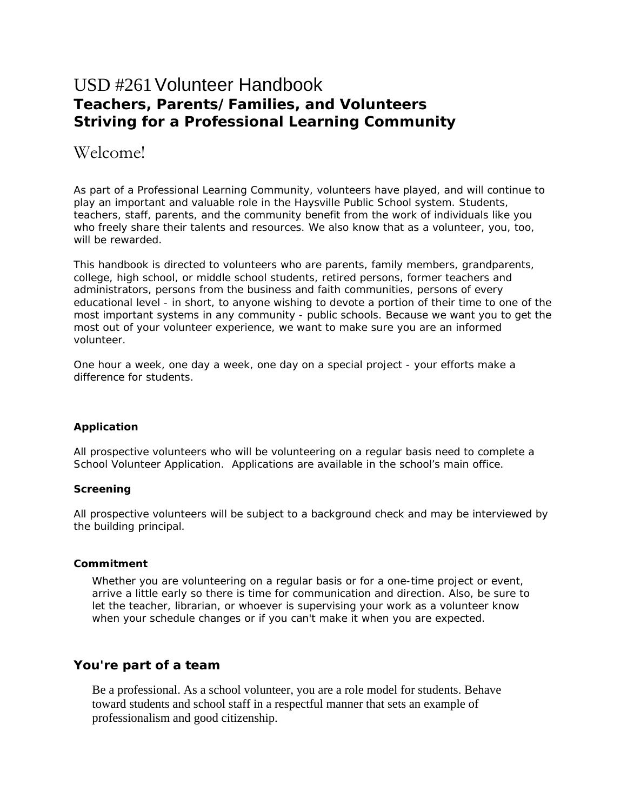# USD #261Volunteer Handbook **Teachers, Parents/Families, and Volunteers Striving for a Professional Learning Community**

# Welcome!

As part of a Professional Learning Community, volunteers have played, and will continue to play an important and valuable role in the Haysville Public School system. Students, teachers, staff, parents, and the community benefit from the work of individuals like you who freely share their talents and resources. We also know that as a volunteer, you, too, will be rewarded.

This handbook is directed to volunteers who are parents, family members, grandparents, college, high school, or middle school students, retired persons, former teachers and administrators, persons from the business and faith communities, persons of every educational level - in short, to anyone wishing to devote a portion of their time to one of the most important systems in any community - public schools. Because we want you to get the most out of your volunteer experience, we want to make sure you are an informed volunteer.

One hour a week, one day a week, one day on a special project - your efforts make a difference for students.

# **Application**

All prospective volunteers who will be volunteering on a regular basis need to complete a School Volunteer Application. Applications are available in the school's main office.

# **Screening**

All prospective volunteers will be subject to a background check and may be interviewed by the building principal.

# **Commitment**

Whether you are volunteering on a regular basis or for a one-time project or event, arrive a little early so there is time for communication and direction. Also, be sure to let the teacher, librarian, or whoever is supervising your work as a volunteer know when your schedule changes or if you can't make it when you are expected.

# **You're part of a team**

Be a professional. As a school volunteer, you are a role model for students. Behave toward students and school staff in a respectful manner that sets an example of professionalism and good citizenship.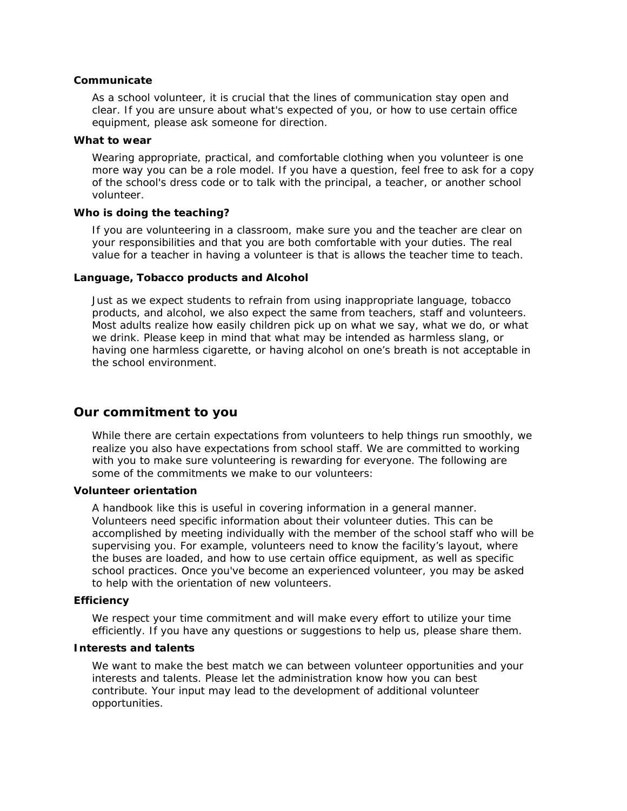# **Communicate**

As a school volunteer, it is crucial that the lines of communication stay open and clear. If you are unsure about what's expected of you, or how to use certain office equipment, please ask someone for direction.

#### **What to wear**

Wearing appropriate, practical, and comfortable clothing when you volunteer is one more way you can be a role model. If you have a question, feel free to ask for a copy of the school's dress code or to talk with the principal, a teacher, or another school volunteer.

## **Who is doing the teaching?**

If you are volunteering in a classroom, make sure you and the teacher are clear on your responsibilities and that you are both comfortable with your duties. The real value for a teacher in having a volunteer is that is allows the teacher time to teach.

#### **Language, Tobacco products and Alcohol**

Just as we expect students to refrain from using inappropriate language, tobacco products, and alcohol, we also expect the same from teachers, staff and volunteers. Most adults realize how easily children pick up on what we say, what we do, or what we drink. Please keep in mind that what may be intended as harmless slang, or having one harmless cigarette, or having alcohol on one's breath is not acceptable in the school environment.

# **Our commitment to you**

While there are certain expectations from volunteers to help things run smoothly, we realize you also have expectations from school staff. We are committed to working with you to make sure volunteering is rewarding for everyone. The following are some of the commitments we make to our volunteers:

## **Volunteer orientation**

A handbook like this is useful in covering information in a general manner. Volunteers need specific information about their volunteer duties. This can be accomplished by meeting individually with the member of the school staff who will be supervising you. For example, volunteers need to know the facility's layout, where the buses are loaded, and how to use certain office equipment, as well as specific school practices. Once you've become an experienced volunteer, you may be asked to help with the orientation of new volunteers.

## **Efficiency**

We respect your time commitment and will make every effort to utilize your time efficiently. If you have any questions or suggestions to help us, please share them.

# **Interests and talents**

We want to make the best match we can between volunteer opportunities and your interests and talents. Please let the administration know how you can best contribute. Your input may lead to the development of additional volunteer opportunities.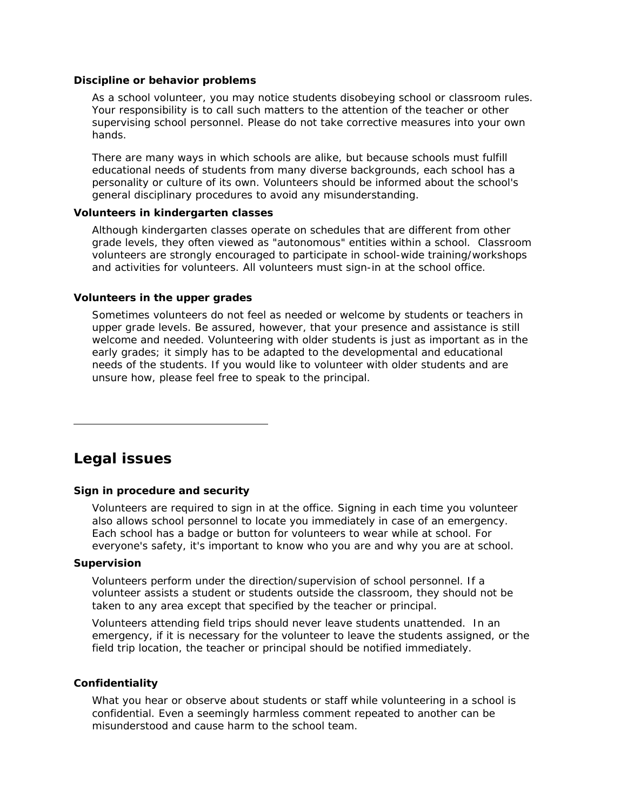#### **Discipline or behavior problems**

As a school volunteer, you may notice students disobeying school or classroom rules. Your responsibility is to call such matters to the attention of the teacher or other supervising school personnel. Please do not take corrective measures into your own hands.

There are many ways in which schools are alike, but because schools must fulfill educational needs of students from many diverse backgrounds, each school has a personality or culture of its own. Volunteers should be informed about the school's general disciplinary procedures to avoid any misunderstanding.

#### **Volunteers in kindergarten classes**

Although kindergarten classes operate on schedules that are different from other grade levels, they often viewed as "autonomous" entities within a school. Classroom volunteers are strongly encouraged to participate in school-wide training/workshops and activities for volunteers. All volunteers must sign-in at the school office.

#### **Volunteers in the upper grades**

Sometimes volunteers do not feel as needed or welcome by students or teachers in upper grade levels. Be assured, however, that your presence and assistance is still welcome and needed. Volunteering with older students is just as important as in the early grades; it simply has to be adapted to the developmental and educational needs of the students. If you would like to volunteer with older students and are unsure how, please feel free to speak to the principal.

# **Legal issues**

## **Sign in procedure and security**

Volunteers are required to sign in at the office. Signing in each time you volunteer also allows school personnel to locate you immediately in case of an emergency. Each school has a badge or button for volunteers to wear while at school. For everyone's safety, it's important to know who you are and why you are at school.

## **Supervision**

Volunteers perform under the direction/supervision of school personnel. If a volunteer assists a student or students outside the classroom, they should not be taken to any area except that specified by the teacher or principal.

Volunteers attending field trips should never leave students unattended. In an emergency, if it is necessary for the volunteer to leave the students assigned, or the field trip location, the teacher or principal should be notified immediately.

#### **Confidentiality**

What you hear or observe about students or staff while volunteering in a school is confidential. Even a seemingly harmless comment repeated to another can be misunderstood and cause harm to the school team.